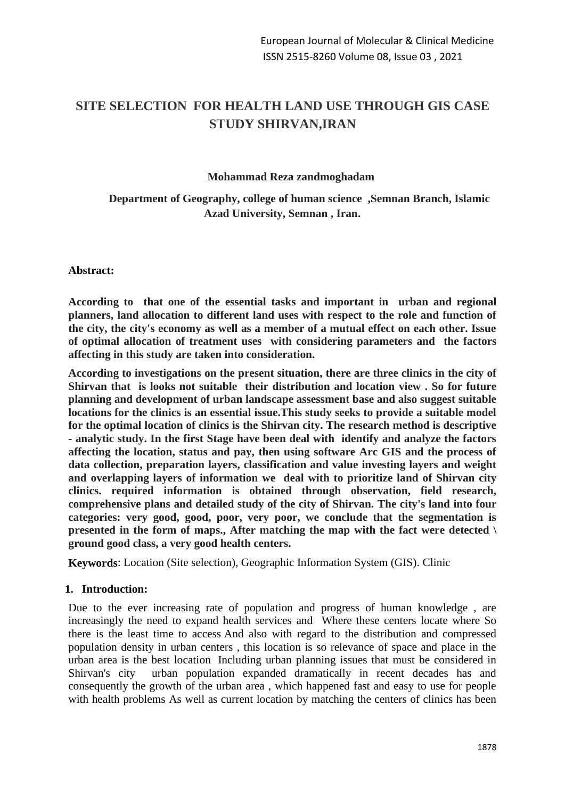# **SITE SELECTION FOR HEALTH LAND USE THROUGH GIS CASE STUDY SHIRVAN,IRAN**

### **Mohammad Reza zandmoghadam**

### **Department of Geography, college of human science ,Semnan Branch, Islamic Azad University, Semnan , Iran.**

#### **Abstract:**

**According to that one of the essential tasks and important in urban and regional planners, land allocation to different land uses with respect to the role and function of the city, the city's economy as well as a member of a mutual effect on each other. Issue of optimal allocation of treatment uses with considering parameters and the factors affecting in this study are taken into consideration.**

**According to investigations on the present situation, there are three clinics in the city of Shirvan that is looks not suitable their distribution and location view . So for future planning and development of urban landscape assessment base and also suggest suitable locations for the clinics is an essential issue.This study seeks to provide a suitable model for the optimal location of clinics is the Shirvan city. The research method is descriptive - analytic study. In the first Stage have been deal with identify and analyze the factors affecting the location, status and pay, then using software Arc GIS and the process of data collection, preparation layers, classification and value investing layers and weight and overlapping layers of information we deal with to prioritize land of Shirvan city clinics. required information is obtained through observation, field research, comprehensive plans and detailed study of the city of Shirvan. The city's land into four categories: very good, good, poor, very poor, we conclude that the segmentation is presented in the form of maps., After matching the map with the fact were detected \ ground good class, a very good health centers.**

**Keywords**: Location (Site selection), Geographic Information System (GIS). Clinic

### **1. Introduction:**

Due to the ever increasing rate of population and progress of human knowledge , are increasingly the need to expand health services and Where these centers locate where So there is the least time to access And also with regard to the distribution and compressed population density in urban centers , this location is so relevance of space and place in the urban area is the best location Including urban planning issues that must be considered in Shirvan's city urban population expanded dramatically in recent decades has and consequently the growth of the urban area , which happened fast and easy to use for people with health problems As well as current location by matching the centers of clinics has been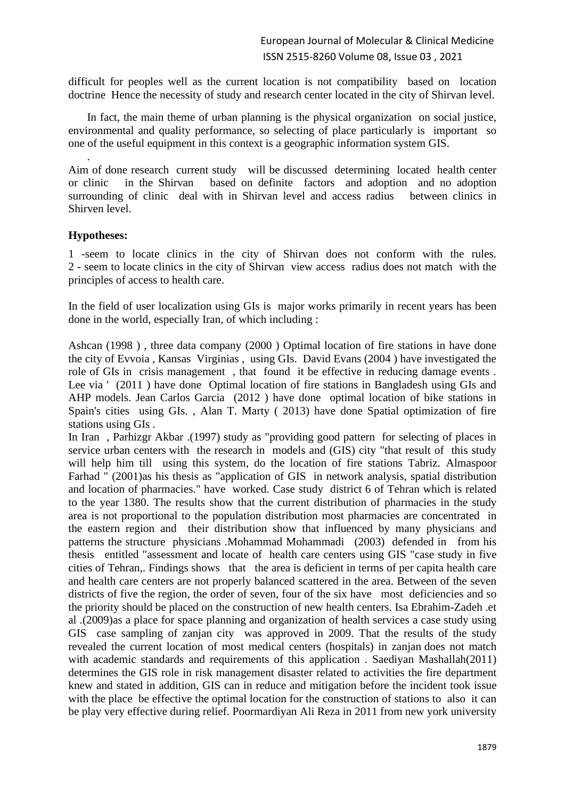difficult for peoples well as the current location is not compatibility based on location doctrine Hence the necessity of study and research center located in the city of Shirvan level.

In fact, the main theme of urban planning is the physical organization on social justice, environmental and quality performance, so selecting of place particularly is important so one of the useful equipment in this context is a geographic information system GIS.

Aim of done research current study will be discussed determining located health center or clinic in the Shirvan based on definite factors and adoption and no adoption surrounding of clinic deal with in Shirvan level and access radius between clinics in Shirven level.

### **Hypotheses:**

.

1 -seem to locate clinics in the city of Shirvan does not conform with the rules. 2 - seem to locate clinics in the city of Shirvan view access radius does not match with the principles of access to health care.

In the field of user localization using GIs is major works primarily in recent years has been done in the world, especially Iran, of which including :

Ashcan (1998 ) , three data company (2000 ) Optimal location of fire stations in have done the city of Evvoia , Kansas Virginias , using GIs. David Evans (2004 ) have investigated the role of GIs in crisis management , that found it be effective in reducing damage events . Lee via ' (2011 ) have done Optimal location of fire stations in Bangladesh using GIs and AHP models. Jean Carlos Garcia (2012 ) have done optimal location of bike stations in Spain's cities using GIs. , Alan T. Marty ( 2013) have done Spatial optimization of fire stations using GIs .

In Iran , Parhizgr Akbar .(1997) study as "providing good pattern for selecting of places in service urban centers with the research in models and (GIS) city "that result of this study will help him till using this system, do the location of fire stations Tabriz. Almaspoor Farhad " (2001)as his thesis as "application of GIS in network analysis, spatial distribution and location of pharmacies." have worked. Case study district 6 of Tehran which is related to the year 1380. The results show that the current distribution of pharmacies in the study area is not proportional to the population distribution most pharmacies are concentrated in the eastern region and their distribution show that influenced by many physicians and patterns the structure physicians .Mohammad Mohammadi (2003) defended in from his thesis entitled "assessment and locate of health care centers using GIS "case study in five cities of Tehran,. Findings shows that the area is deficient in terms of per capita health care and health care centers are not properly balanced scattered in the area. Between of the seven districts of five the region, the order of seven, four of the six have most deficiencies and so the priority should be placed on the construction of new health centers. Isa Ebrahim-Zadeh .et al .(2009)as a place for space planning and organization of health services a case study using GIS case sampling of zanjan city was approved in 2009. That the results of the study revealed the current location of most medical centers (hospitals) in zanjan does not match with academic standards and requirements of this application . Saediyan Mashallah(2011) determines the GIS role in risk management disaster related to activities the fire department knew and stated in addition, GIS can in reduce and mitigation before the incident took issue with the place be effective the optimal location for the construction of stations to also it can be play very effective during relief. Poormardiyan Ali Reza in 2011 from new york university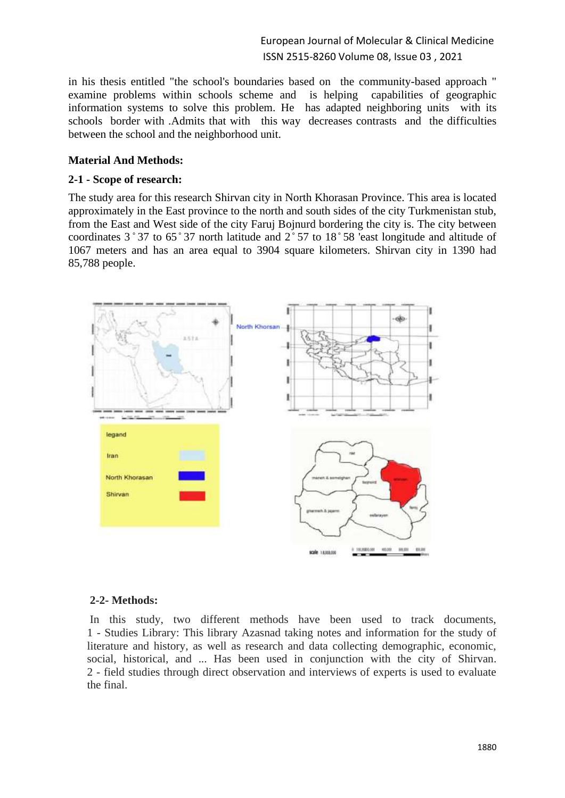European Journal of Molecular & Clinical Medicine ISSN 2515-8260 Volume 08, Issue 03 , 2021

in his thesis entitled "the school's boundaries based on the community-based approach " examine problems within schools scheme and is helping capabilities of geographic information systems to solve this problem. He has adapted neighboring units with its schools border with .Admits that with this way decreases contrasts and the difficulties between the school and the neighborhood unit.

### **Material And Methods:**

#### **2-1 - Scope of research:**

The study area for this research Shirvan city in North Khorasan Province. This area is located approximately in the East province to the north and south sides of the city Turkmenistan stub, from the East and West side of the city Faruj Bojnurd bordering the city is. The city between coordinates  $3°37$  to  $65°37$  north latitude and  $2°57$  to  $18°58$  'east longitude and altitude of 1067 meters and has an area equal to 3904 square kilometers. Shirvan city in 1390 had 85,788 people.



#### **2-2- Methods:**

In this study, two different methods have been used to track documents, 1 - Studies Library: This library Azasnad taking notes and information for the study of literature and history, as well as research and data collecting demographic, economic, social, historical, and ... Has been used in conjunction with the city of Shirvan. 2 - field studies through direct observation and interviews of experts is used to evaluate the final.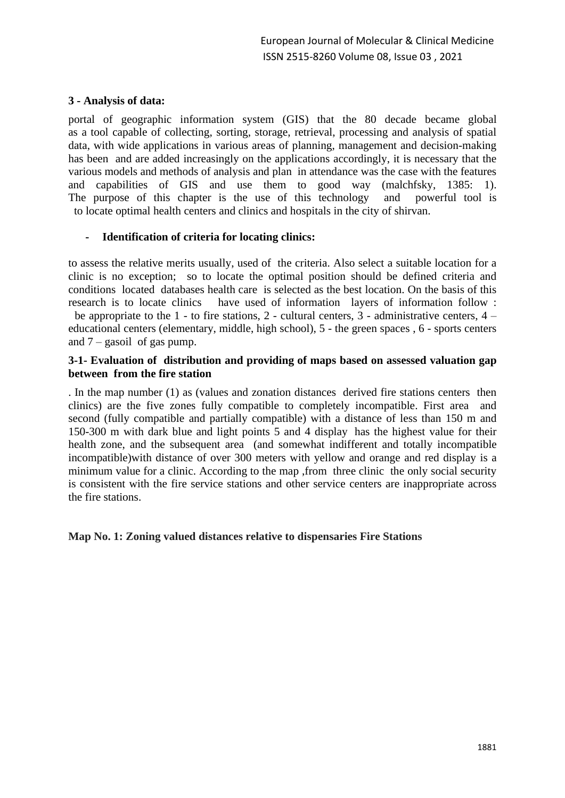### **3 - Analysis of data:**

portal of geographic information system (GIS) that the 80 decade became global as a tool capable of collecting, sorting, storage, retrieval, processing and analysis of spatial data, with wide applications in various areas of planning, management and decision-making has been and are added increasingly on the applications accordingly, it is necessary that the various models and methods of analysis and plan in attendance was the case with the features and capabilities of GIS and use them to good way (malchfsky, 1385: 1). The purpose of this chapter is the use of this technology and powerful tool is to locate optimal health centers and clinics and hospitals in the city of shirvan.

### **- Identification of criteria for locating clinics:**

to assess the relative merits usually, used of the criteria. Also select a suitable location for a clinic is no exception; so to locate the optimal position should be defined criteria and conditions located databases health care is selected as the best location. On the basis of this research is to locate clinics have used of information layers of information follow : be appropriate to the  $1$  - to fire stations,  $2$  - cultural centers,  $3$  - administrative centers,  $4$  educational centers (elementary, middle, high school), 5 - the green spaces , 6 - sports centers and  $7 -$  gasoil of gas pump.

### **3-1- Evaluation of distribution and providing of maps based on assessed valuation gap between from the fire station**

. In the map number (1) as (values and zonation distances derived fire stations centers then clinics) are the five zones fully compatible to completely incompatible. First area and second (fully compatible and partially compatible) with a distance of less than 150 m and 150-300 m with dark blue and light points 5 and 4 display has the highest value for their health zone, and the subsequent area (and somewhat indifferent and totally incompatible incompatible)with distance of over 300 meters with yellow and orange and red display is a minimum value for a clinic. According to the map ,from three clinic the only social security is consistent with the fire service stations and other service centers are inappropriate across the fire stations.

### **Map No. 1: Zoning valued distances relative to dispensaries Fire Stations**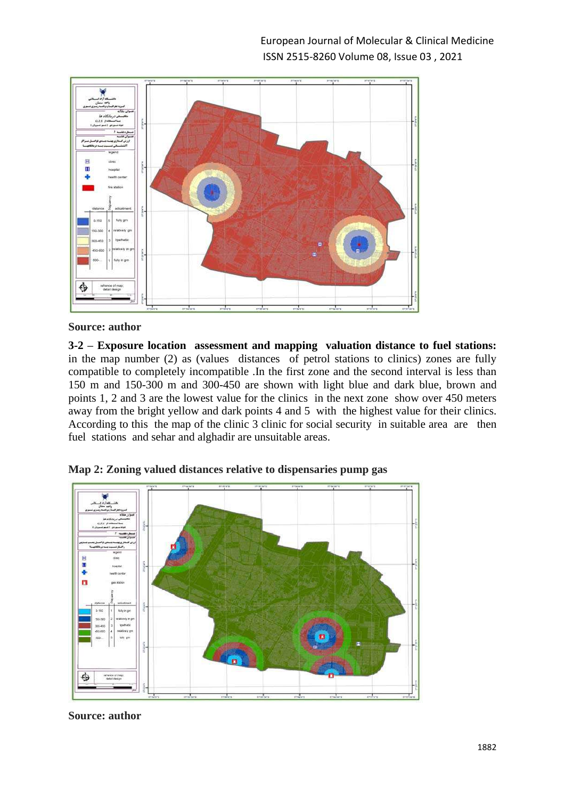

**3-2 – Exposure location assessment and mapping valuation distance to fuel stations:** in the map number (2) as (values distances of petrol stations to clinics) zones are fully compatible to completely incompatible .In the first zone and the second interval is less than 150 m and 150-300 m and 300-450 are shown with light blue and dark blue, brown and points 1, 2 and 3 are the lowest value for the clinics in the next zone show over 450 meters away from the bright yellow and dark points 4 and 5 with the highest value for their clinics. According to this the map of the clinic 3 clinic for social security in suitable area are then fuel stations and sehar and alghadir are unsuitable areas.



**Map 2: Zoning valued distances relative to dispensaries pump gas**

**Source: author**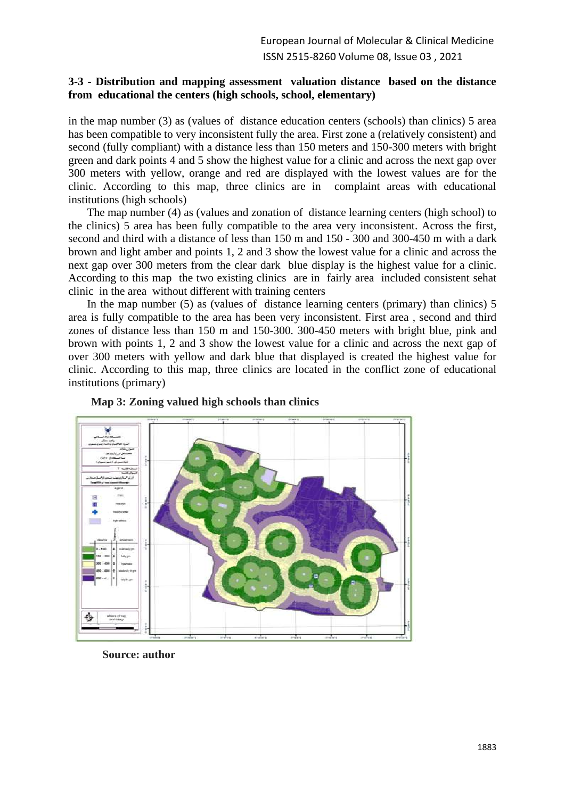### **3-3 - Distribution and mapping assessment valuation distance based on the distance from educational the centers (high schools, school, elementary)**

in the map number (3) as (values of distance education centers (schools) than clinics) 5 area has been compatible to very inconsistent fully the area. First zone a (relatively consistent) and second (fully compliant) with a distance less than 150 meters and 150-300 meters with bright green and dark points 4 and 5 show the highest value for a clinic and across the next gap over 300 meters with yellow, orange and red are displayed with the lowest values are for the clinic. According to this map, three clinics are in complaint areas with educational institutions (high schools)

The map number (4) as (values and zonation of distance learning centers (high school) to the clinics) 5 area has been fully compatible to the area very inconsistent. Across the first, second and third with a distance of less than 150 m and 150 - 300 and 300-450 m with a dark brown and light amber and points 1, 2 and 3 show the lowest value for a clinic and across the next gap over 300 meters from the clear dark blue display is the highest value for a clinic. According to this map the two existing clinics are in fairly area included consistent sehat clinic in the area without different with training centers

In the map number (5) as (values of distance learning centers (primary) than clinics) 5 area is fully compatible to the area has been very inconsistent. First area , second and third zones of distance less than 150 m and 150-300. 300-450 meters with bright blue, pink and brown with points 1, 2 and 3 show the lowest value for a clinic and across the next gap of over 300 meters with yellow and dark blue that displayed is created the highest value for clinic. According to this map, three clinics are located in the conflict zone of educational institutions (primary)





**Source: author**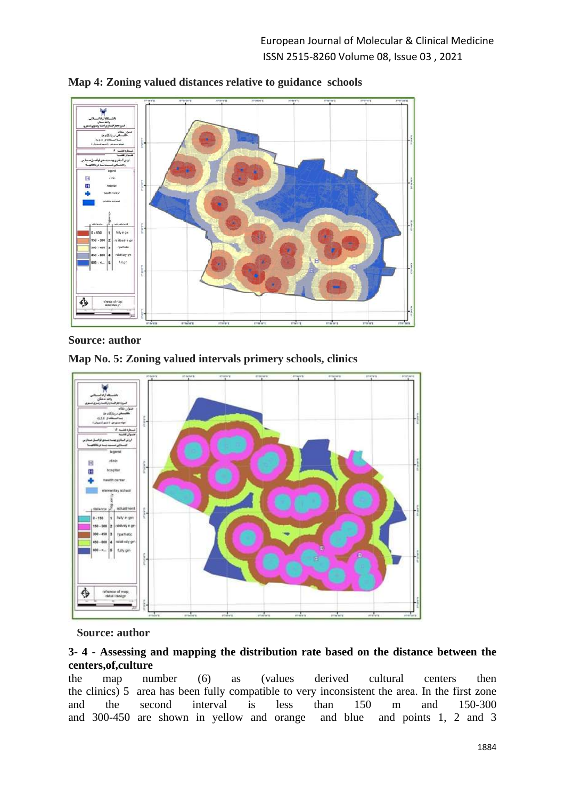

**Map 4: Zoning valued distances relative to guidance schools**



**Map No. 5: Zoning valued intervals primery schools, clinics**



### **Source: author**

### **3- 4 - Assessing and mapping the distribution rate based on the distance between the centers,of,culture**

the map number (6) as (values derived cultural centers then the clinics) 5 area has been fully compatible to very inconsistent the area. In the first zone and the second interval is less than 150 m and 150-300 and 300-450 are shown in yellow and orange and blue and points 1, 2 and 3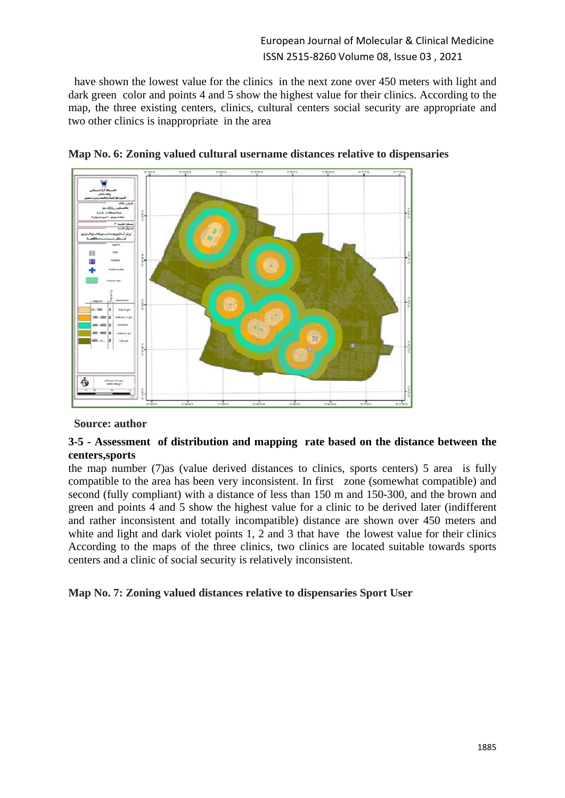## European Journal of Molecular & Clinical Medicine ISSN 2515-8260 Volume 08, Issue 03 , 2021

have shown the lowest value for the clinics in the next zone over 450 meters with light and dark green color and points 4 and 5 show the highest value for their clinics. According to the map, the three existing centers, clinics, cultural centers social security are appropriate and two other clinics is inappropriate in the area





### **Source: author**

### **3-5 - Assessment of distribution and mapping rate based on the distance between the centers,sports**

the map number (7)as (value derived distances to clinics, sports centers) 5 area is fully compatible to the area has been very inconsistent. In first zone (somewhat compatible) and second (fully compliant) with a distance of less than 150 m and 150-300, and the brown and green and points 4 and 5 show the highest value for a clinic to be derived later (indifferent and rather inconsistent and totally incompatible) distance are shown over 450 meters and white and light and dark violet points 1, 2 and 3 that have the lowest value for their clinics According to the maps of the three clinics, two clinics are located suitable towards sports centers and a clinic of social security is relatively inconsistent.

**Map No. 7: Zoning valued distances relative to dispensaries Sport User**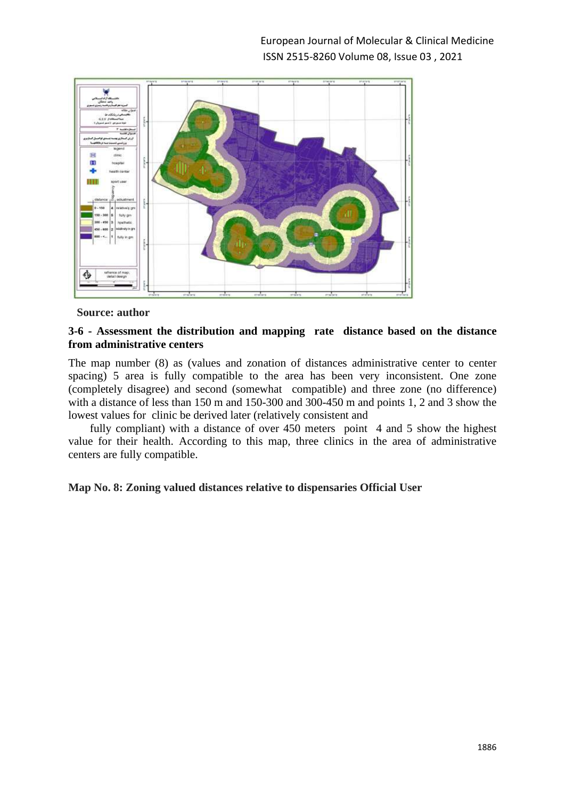

### **3-6 - Assessment the distribution and mapping rate distance based on the distance from administrative centers**

The map number (8) as (values and zonation of distances administrative center to center spacing) 5 area is fully compatible to the area has been very inconsistent. One zone (completely disagree) and second (somewhat compatible) and three zone (no difference) with a distance of less than 150 m and 150-300 and 300-450 m and points 1, 2 and 3 show the lowest values for clinic be derived later (relatively consistent and

fully compliant) with a distance of over 450 meters point 4 and 5 show the highest value for their health. According to this map, three clinics in the area of administrative centers are fully compatible.

### **Map No. 8: Zoning valued distances relative to dispensaries Official User**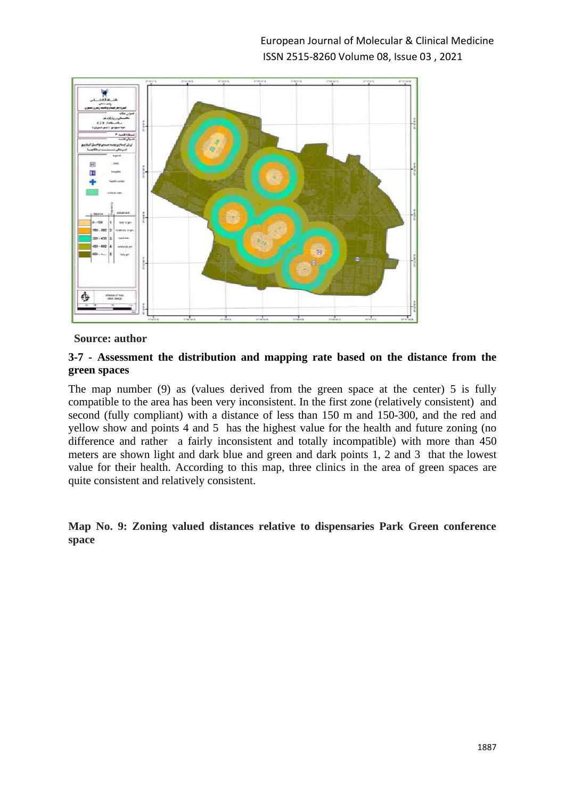

### **3-7 - Assessment the distribution and mapping rate based on the distance from the green spaces**

The map number (9) as (values derived from the green space at the center) 5 is fully compatible to the area has been very inconsistent. In the first zone (relatively consistent) and second (fully compliant) with a distance of less than 150 m and 150-300, and the red and yellow show and points 4 and 5 has the highest value for the health and future zoning (no difference and rather a fairly inconsistent and totally incompatible) with more than 450 meters are shown light and dark blue and green and dark points 1, 2 and 3 that the lowest value for their health. According to this map, three clinics in the area of green spaces are quite consistent and relatively consistent.

**Map No. 9: Zoning valued distances relative to dispensaries Park Green conference space**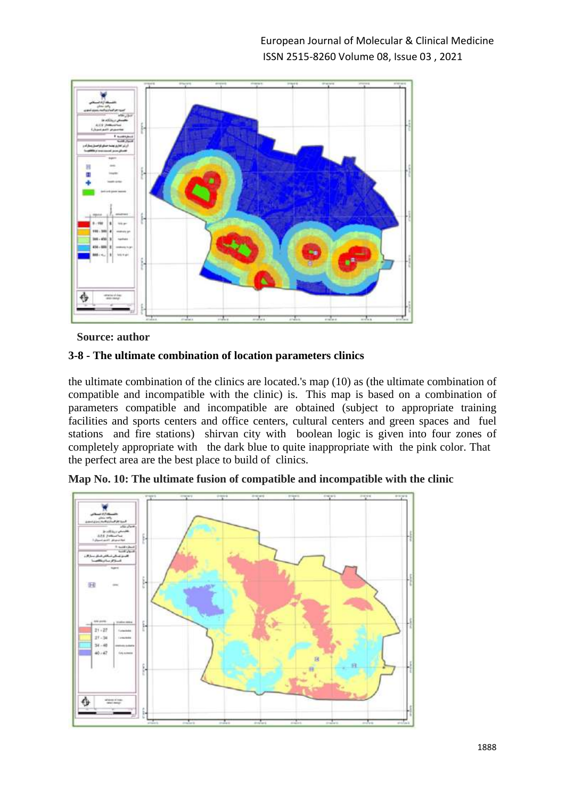

## **3-8 - The ultimate combination of location parameters clinics**

the ultimate combination of the clinics are located.'s map (10) as (the ultimate combination of compatible and incompatible with the clinic) is. This map is based on a combination of parameters compatible and incompatible are obtained (subject to appropriate training facilities and sports centers and office centers, cultural centers and green spaces and fuel stations and fire stations) shirvan city with boolean logic is given into four zones of completely appropriate with the dark blue to quite inappropriate with the pink color. That the perfect area are the best place to build of clinics.



**Map No. 10: The ultimate fusion of compatible and incompatible with the clinic**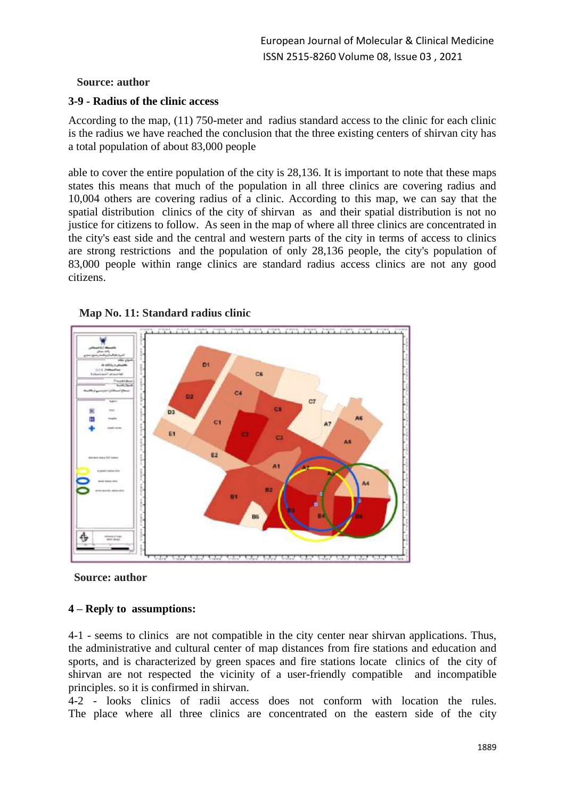### **3-9 - Radius of the clinic access**

According to the map, (11) 750-meter and radius standard access to the clinic for each clinic is the radius we have reached the conclusion that the three existing centers of shirvan city has a total population of about 83,000 people

able to cover the entire population of the city is 28,136. It is important to note that these maps states this means that much of the population in all three clinics are covering radius and 10,004 others are covering radius of a clinic. According to this map, we can say that the spatial distribution clinics of the city of shirvan as and their spatial distribution is not no justice for citizens to follow. As seen in the map of where all three clinics are concentrated in the city's east side and the central and western parts of the city in terms of access to clinics are strong restrictions and the population of only 28,136 people, the city's population of 83,000 people within range clinics are standard radius access clinics are not any good citizens.







## **4 – Reply to assumptions:**

4-1 - seems to clinics are not compatible in the city center near shirvan applications. Thus, the administrative and cultural center of map distances from fire stations and education and sports, and is characterized by green spaces and fire stations locate clinics of the city of shirvan are not respected the vicinity of a user-friendly compatible and incompatible principles. so it is confirmed in shirvan.

4-2 - looks clinics of radii access does not conform with location the rules. The place where all three clinics are concentrated on the eastern side of the city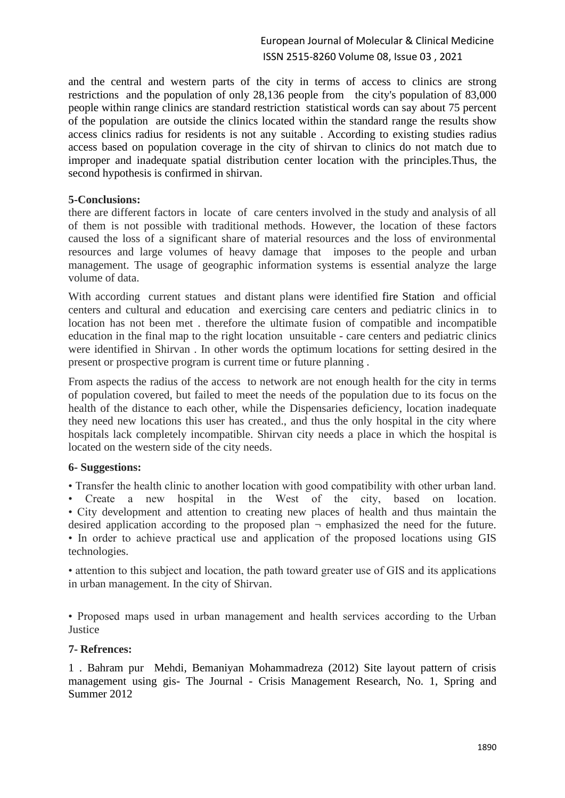and the central and western parts of the city in terms of access to clinics are strong restrictions and the population of only 28,136 people from the city's population of 83,000 people within range clinics are standard restriction statistical words can say about 75 percent of the population are outside the clinics located within the standard range the results show access clinics radius for residents is not any suitable . According to existing studies radius access based on population coverage in the city of shirvan to clinics do not match due to improper and inadequate spatial distribution center location with the principles.Thus, the second hypothesis is confirmed in shirvan.

### **5-Conclusions:**

there are different factors in locate of care centers involved in the study and analysis of all of them is not possible with traditional methods. However, the location of these factors caused the loss of a significant share of material resources and the loss of environmental resources and large volumes of heavy damage that imposes to the people and urban management. The usage of geographic information systems is essential analyze the large volume of data.

With according current statues and distant plans were identified fire Station and official centers and cultural and education and exercising care centers and pediatric clinics in to location has not been met . therefore the ultimate fusion of compatible and incompatible education in the final map to the right location unsuitable - care centers and pediatric clinics were identified in Shirvan . In other words the optimum locations for setting desired in the present or prospective program is current time or future planning .

From aspects the radius of the access to network are not enough health for the city in terms of population covered, but failed to meet the needs of the population due to its focus on the health of the distance to each other, while the Dispensaries deficiency, location inadequate they need new locations this user has created., and thus the only hospital in the city where hospitals lack completely incompatible. Shirvan city needs a place in which the hospital is located on the western side of the city needs.

### **6- Suggestions:**

• Transfer the health clinic to another location with good compatibility with other urban land.

• Create a new hospital in the West of the city, based on location. • City development and attention to creating new places of health and thus maintain the desired application according to the proposed plan  $\neg$  emphasized the need for the future. • In order to achieve practical use and application of the proposed locations using GIS technologies.

• attention to this subject and location, the path toward greater use of GIS and its applications in urban management. In the city of Shirvan.

• Proposed maps used in urban management and health services according to the Urban Justice

### **7- Refrences:**

1 . Bahram pur Mehdi, Bemaniyan Mohammadreza (2012) Site layout pattern of crisis management using gis- The Journal - Crisis Management Research, No. 1, Spring and Summer 2012